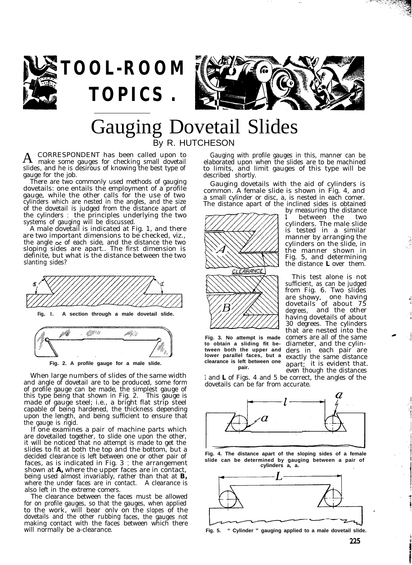



## Gauging Dovetail Slides By R. HUTCHESON

A CORRESPONDENT has been called upon to make some gauges for checking small dovetail slides, and he is desirous of knowing the best type of gauge for the job.

**TOPICS .**

There are two commonly used methods of gauging dovetails: one entails the employment of a profile gauge, while the other calls for the use of two cylinders which are nested in the angles, and the size of the dovetail is judged from the distance apart of the cylinders ; the principles underlying the two systems of gauging will be discussed.

A male dovetail is indicated at Fig. 1, and there are two important dimensions to be checked, viz., the angle  $\alpha$  of each side, and the distance the two sloping sides are apart.. The first dimension is definite, but what is the distance between the two slanting sides?





When large numbers of slides of the same width and angle of dovetail are to be produced, some form of profile gauge can be made, the simplest gauge of this type being that shown in Fig. 2. This gauge is made of gauge steel; i.e., a bright flat strip steel capable of being hardened, the thickness depending upon the length, and being sufficient to ensure that the gauge is rigid.

If one examines a pair of machine parts which are dovetailed together, to slide one upon the other, it will be noticed that no attempt is made to get the slides to fit at both the top and the bottom, but a decided clearance is left between one or other pair of faces, as is indicated in Fig. 3 ; the arrangement shown at *A,* where the upper faces are in contact, being used almost invariably, rather than that at *B,* where the under faces are in contact. A clearance is also left in the extreme comers.

The clearance between the faces must be allowed for on profile gauges, so that the gauges, when applied to the work, will bear onlv on the slopes of the dovetails and the other rubbing faces, the gauges not making contact with the faces between which there will normally be a-clearance.

Gauging with profile gauges in this, manner can be elaborated upon when the slides are to be machined to limits, and limit gauges of this type will be described shortly.

Gauging dovetails with the aid of cylinders is common. A female slide is shown in Fig. 4, and a small cylinder or disc, a, is nested in each comer. The distance apart of the inclined sides is obtained



**Fig. 3. No attempt is made to obtain a sliding fit between both the upper and lower parallel faces, but a clearance is left between one pair.**

by measuring the distance *<sup>1</sup>* between the two cylinders. The male slide is tested in a similar manner by arranging the cylinders on the slide, in the manner shown in Fig. 5, and determining the distance *L* over them.

This test alone is not sufficient, as can be judged from Fig. 6. Two slides are showy, one having dovetails of about 75 degrees, and the other having dovetails of about 30 degrees. The cylinders that are nested into the comers are all of the same diameter, and the cylinders in each pair are exactly the same distance apart; it is evident that. even though the distances

1 and *L* of Figs. 4 and 5 be correct, the angles of the dovetails can be far from accurate.



**Fig. 4. The distance apart of the sloping sides of a female slide can be determined by gauging between a pair of cylinders a, a.**



**Fig. 5. " Cylinder " gauging applied to a male dovetail slide.**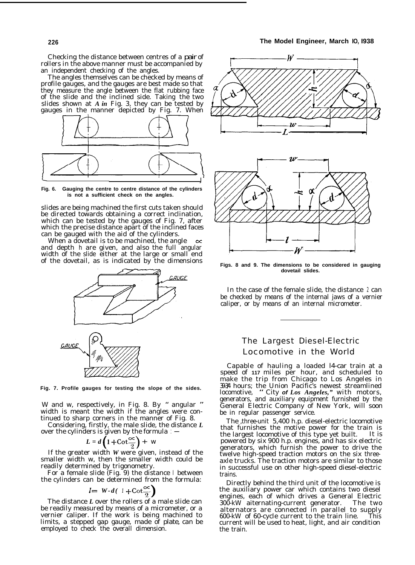Checking the distance between centres of a pair of rollers in the above manner must be accompanied by an independent checking of the angles.

The angles themselves can be checked by means of profile gauges, and the gauges are best made so that they measure the angle between the flat rubbing face of the slide and the inclined side. Taking the two slides shown at *A in* Fig. 3, they can be tested by gauges in the manner depicted by Fig. 7. When



**Fig. 6. Gauging the centre to centre distance of the cylinders is not a sufficient check on the angles.**

slides are being machined the first cuts taken should be directed towards obtaining a correct inclination, which can be tested by the gauges of Fig. 7, after which the precise distance apart of the inclined faces can be gauged with the aid of the cylinders.

When a dovetail is to be machined, the angle and depth h are given, and also the full angular width of the slide either at the large or small end of the dovetail, as is indicated by the dimensions



**Fig. 7. Profile gauges for testing the slope of the sides.**

W and w, respectively, in Fig. 8. By " angular " width is meant the width if the angles were continued to sharp corners in the manner of Fig. 8.

Considering, firstly, the male slide, the distance *L* over the cylinders is given by the formula  $: -$ 

$$
L = d \left( 1 + \cot \frac{\infty}{2} \right) + w
$$

If the greater width *W* were given, instead of the smaller width w, then the smaller width could be readily determined by trigonometry.

For a female slide (Fig. 9) the distance I between the cylinders can be determined from the formula:

$$
l = W - d(1 + \cot \frac{\infty}{2})
$$

The distance *L* over the rollers of a male slide can be readily measured by means of a micrometer, or a vernier caliper. If the work is being machined to limits, a stepped gap gauge, made of plate, can be employed to check the overall dimension.



**Figs. 8 and 9. The dimensions to be considered in gauging dovetail slides.**

In the case of the female slide, the distance 2 can be checked by means of the internal jaws of a vernier caliper, or by means of an internal micrometer.

#### The Largest Diesel-Electric Locomotive in the World

Capable of hauling a loaded l4-car train at a speed of **117** miles per hour, and scheduled to make the trip from Chicago to Los Angeles in 39-3/4 hours; the Union Pacific's newest streamlined locomotive, " City *of Los Angeles,"* with motors, generators, and auxiliary equipment furnished by the General Electric Company of New York, will soon be in regular passenger service.

The ,three-unit 5,400 h.p. diesel-electric locomotive that furnishes the motive power for the train is the largest locomotive of this type yet built. It is powered by six 900 h.p. engines, and has six electric generators, which furnish the power to drive the twelve high-speed traction motors on the six threeaxle trucks. The traction motors are similar to those in successful use on other high-speed diesel-electric trains.

Directly behind the third unit of the locomotive is the auxiliary power car which contains two diesel engines, each of which drives a General Electric<br>300-kW aiternating-current generator. The two 300-kW aiternating-current generator. alternators are connected in parallel to supply 600-kW of 60-cycle current to the train line. This current will be used to heat, light, and air condition the train.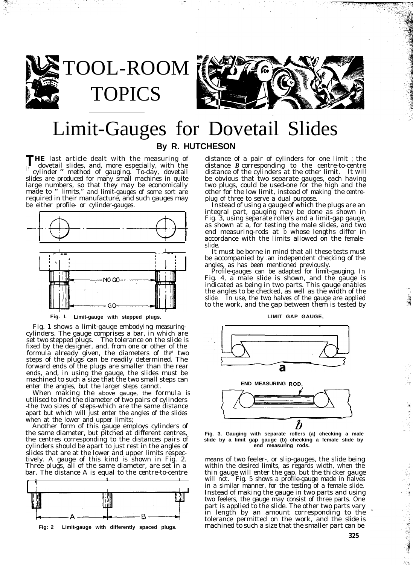

TOOL-ROOM TOPICS



# Limit-Gauges for Dovetail Slides **By R. HUTCHESON**

**THE** last article dealt with the measuring of dovetail slides, and, more especially, with the cylinder " method of gauging. To-day, dovetail slides are produced for many small machines in quite large numbers, so that they may be economically made to " limits," and limit-gauges of some sort are required in their manufacture, and such gauges may be either profile- or cylinder-gauges.



**Fig. I. Limit-gauge with stepped plugs.**

Fig. 1 shows a limit-gauge embodying measuringcylinders. The gauge comprises a bar, in which are set two stepped plugs. The tolerance on the slide is fixed by the designer, and, from one or other of the formula already given, the diameters of the\* two steps of the plugs can be readily determined. The forward ends of the plugs are smaller than the rear ends, and, in using the gauge, the slides must be machined to such a size that the two small steps can enter the angles, but the larger steps cannot.

When making the *above gauge, the* formula is utilised to find the diameter of two pairs of cylinders -the two sizes of steps-which are the same distance apart but which will just enter the angles of the slides when at the lower and upper limits;

Another form of this gauge employs cylinders of the same diameter, but pitched at different centres, the centres corresponding to the distances pairs of cylinders should be apart to just rest in the angles of slides that are at the lower and upper limits respectively. A gauge of this kind is shown in Fig. 2. Three plugs, all of the same diameter, are set in a bar. The distance A is equal to the centre-to-centre



distance of a pair of cylinders for one limit ; the distance *B* corresponding to the centre-to-centre distance of the cylinders at the other limit. It will be obvious that two separate gauges, each having two plugs, could be used-one for the high and the other for the low limit, instead of making the centreplug of three to serve a dual purpose. Instead of using a gauge of which the plugs are an

integral part, gauging may be done as shown in Fig. 3, using separate rollers and a limit-gap gauge, as shown at a, for testing the male slides, and two end measuring-rods at b whose lengths differ in accordance with the limits allowed on the femaleslide.

It must be borne in mind that all these tests must be accompanied by .an independent checking of the angles, as has been mentioned previously.

Profile-gauges can be adapted for limit-gauging. In Fig. 4, a male slide is shown, and the gauge is indicated as being in two parts. This gauge enables the angles to be checked, as well as the width of the slide. In use, the two halves of the gauge are applied to the work, and the gap between them is tested by



**Fig. 3. Gauging with separate rollers (a) checking a male slide by a limit gap gauge (b) checking a female slide by end measuring rods.**

*means* of two feeler-, or slip-gauges, the slide being within the desired limits, as regards width, when the thin gauge will enter the gap, but the thicker gauge will not. Fig. 5 shows a profile-gauge made in halves in a similar manner, for the testing of a female slide. Instead of making the gauge in two parts and using two feelers, the gauge may consist of three parts. One part is applied to the slide. The other two parts vary in length by an amount corresponding to the tolerance permitted on the work, and the slide is machined to such a size that the smaller part can be